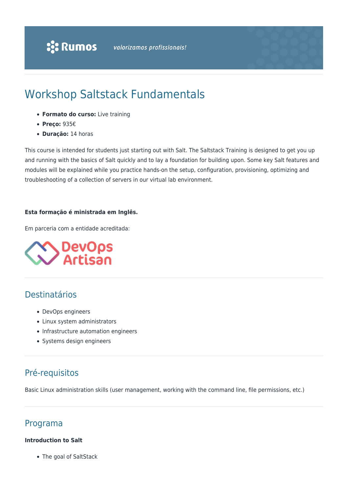# Workshop Saltstack Fundamentals

- **Formato do curso:** Live training
- **Preço:** 935€
- **Duração:** 14 horas

This course is intended for students just starting out with Salt. The Saltstack Training is designed to get you up and running with the basics of Salt quickly and to lay a foundation for building upon. Some key Salt features and modules will be explained while you practice hands-on the setup, configuration, provisioning, optimizing and troubleshooting of a collection of servers in our virtual lab environment.

#### **Esta formação é ministrada em Inglês.**

Em parceria com a entidade acreditada:



## Destinatários

- DevOps engineers
- Linux system administrators
- Infrastructure automation engineers
- Systems design engineers

### Pré-requisitos

Basic Linux administration skills (user management, working with the command line, file permissions, etc.)

### Programa

#### **Introduction to Salt**

The goal of SaltStack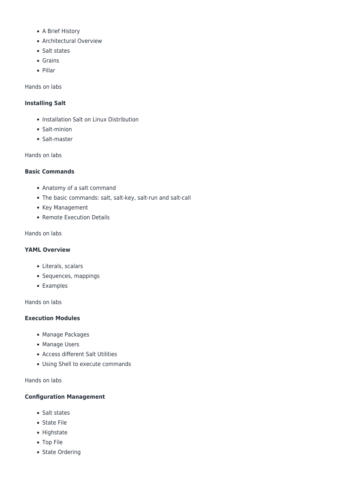- A Brief History
- Architectural Overview
- Salt states
- Grains
- Pillar

Hands on labs

#### **Installing Salt**

- Installation Salt on Linux Distribution
- Salt-minion
- Salt-master

Hands on labs

#### **Basic Commands**

- Anatomy of a salt command
- The basic commands: salt, salt-key, salt-run and salt-call
- Key Management
- Remote Execution Details

#### Hands on labs

#### **YAML Overview**

- Literals, scalars
- Sequences, mappings
- Examples

Hands on labs

#### **Execution Modules**

- Manage Packages
- Manage Users
- Access different Salt Utilities
- Using Shell to execute commands

Hands on labs

#### **Configuration Management**

- Salt states
- State File
- Highstate
- Top File
- State Ordering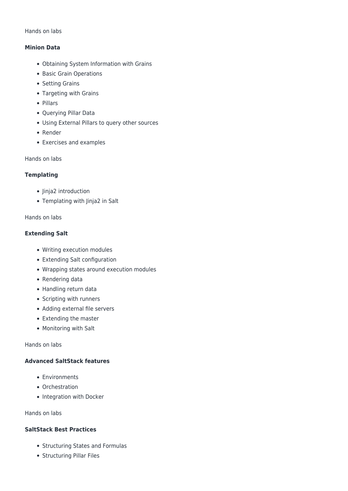#### Hands on labs

#### **Minion Data**

- Obtaining System Information with Grains
- Basic Grain Operations
- Setting Grains
- Targeting with Grains
- Pillars
- Querying Pillar Data
- Using External Pillars to query other sources
- Render
- Exercises and examples

Hands on labs

#### **Templating**

- Jinja2 introduction
- Templating with Jinja2 in Salt

#### Hands on labs

#### **Extending Salt**

- Writing execution modules
- Extending Salt configuration
- Wrapping states around execution modules
- Rendering data
- Handling return data
- Scripting with runners
- Adding external file servers
- Extending the master
- Monitoring with Salt

Hands on labs

#### **Advanced SaltStack features**

- Environments
- Orchestration
- Integration with Docker

Hands on labs

#### **SaltStack Best Practices**

- Structuring States and Formulas
- Structuring Pillar Files